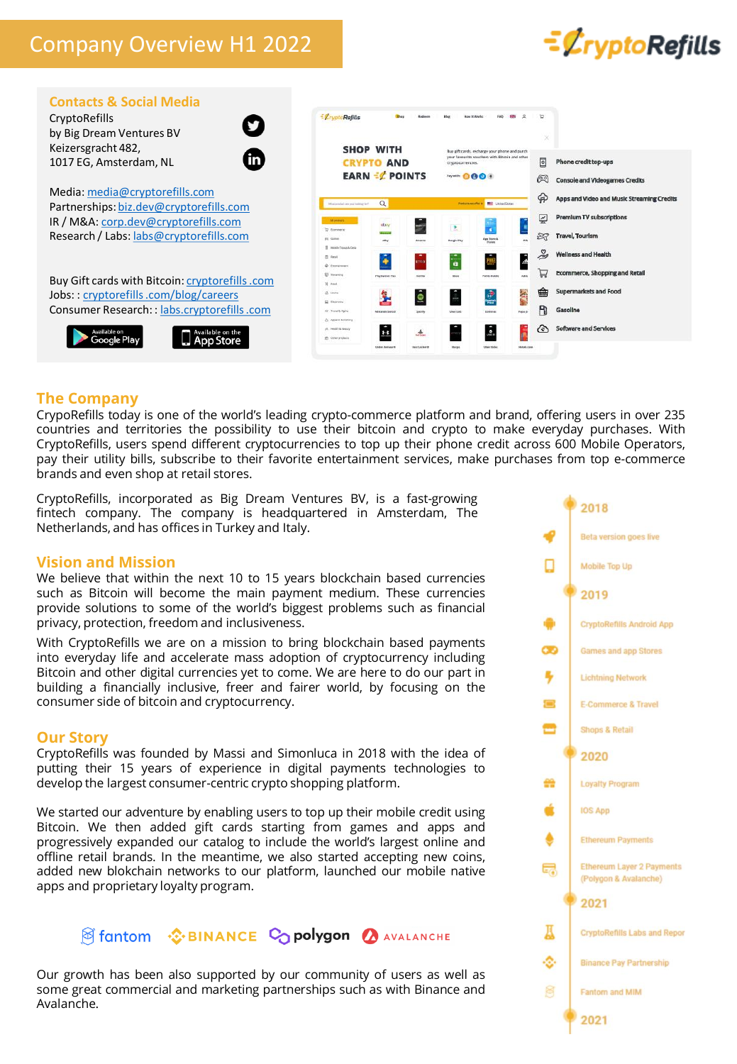# Company Overview H1 2022





### **The Company**

CrypoRefills today is one of the world's leading crypto-commerce platform and brand, offering users in over 235 countries and territories the possibility to use their bitcoin and crypto to make everyday purchases. With CryptoRefills, users spend different cryptocurrencies to top up their phone credit across 600 Mobile Operators, pay their utility bills, subscribe to their favorite entertainment services, make purchases from top e-commerce brands and even shop at retail stores.

CryptoRefills, incorporated as Big Dream Ventures BV, is a fast-growing fintech company. The company is headquartered in Amsterdam, The Netherlands, and has offices in Turkey and Italy.

### **Vision and Mission**

We believe that within the next 10 to 15 years blockchain based currencies such as Bitcoin will become the main payment medium. These currencies provide solutions to some of the world's biggest problems such as financial privacy, protection, freedom and inclusiveness.

With CryptoRefills we are on a mission to bring blockchain based payments into everyday life and accelerate mass adoption of cryptocurrency including Bitcoin and other digital currencies yet to come. We are here to do our part in building a financially inclusive, freer and fairer world, by focusing on the consumer side of bitcoin and cryptocurrency.

#### **Our Story**

CryptoRefills was founded by Massi and Simonluca in 2018 with the idea of putting their 15 years of experience in digital payments technologies to develop the largest consumer-centric crypto shopping platform.

We started our adventure by enabling users to top up their mobile credit using Bitcoin. We then added gift cards starting from games and apps and progressively expanded our catalog to include the world's largest online and offline retail brands. In the meantime, we also started accepting new coins, added new blokchain networks to our platform, launched our mobile native apps and proprietary loyalty program.



Our growth has been also supported by our community of users as well as some great commercial and marketing partnerships such as with Binance and Avalanche.